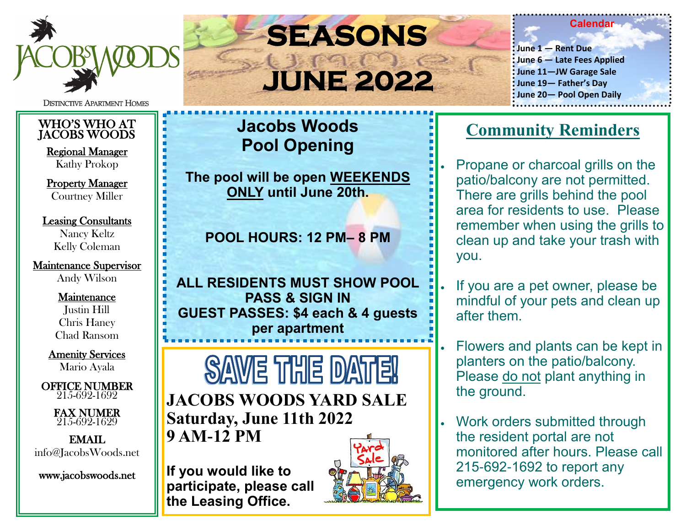

**DISTINCTIVE APARTMENT HOMES** 

#### WHO'S WHO AT JACOBS WOODS

Regional Manager Kathy Prokop

Property Manager Courtney Miller

#### Leasing Consultants Nancy Keltz Kelly Coleman

Maintenance Supervisor Andy Wilson

#### Maintenance

Justin Hill Chris Haney Chad Ransom

Amenity Services Mario Ayala

 OFFICE NUMBER 215-692-1692

> FAX NUMER 215-692-1629

EMAIL info@JacobsWoods.net

www.jacobswoods.net

# **SEASONS JUNE 2022**

#### **Calendar**

**June 1 — Rent Due June 6 — Late Fees Applied June 11—JW Garage Sale June 19— Father's Day June 20— Pool Open Daily**

### **Jacobs Woods Pool Opening**

**The pool will be open WEEKENDS ONLY until June 20th.** 

**POOL HOURS: 12 PM– 8 PM**

**ALL RESIDENTS MUST SHOW POOL PASS & SIGN IN GUEST PASSES: \$4 each & 4 guests per apartment**

**SAME THE DATE! JACOBS WOODS YARD SALE Saturday, June 11th 2022 9 AM-12 PM**

**If you would like to participate, please call the Leasing Office.**



### **Community Reminders**

• Propane or charcoal grills on the patio/balcony are not permitted. There are grills behind the pool area for residents to use. Please remember when using the grills to clean up and take your trash with you.

- If you are a pet owner, please be mindful of your pets and clean up after them.
- Flowers and plants can be kept in planters on the patio/balcony. Please do not plant anything in the ground.
- Work orders submitted through the resident portal are not monitored after hours. Please call 215-692-1692 to report any emergency work orders.